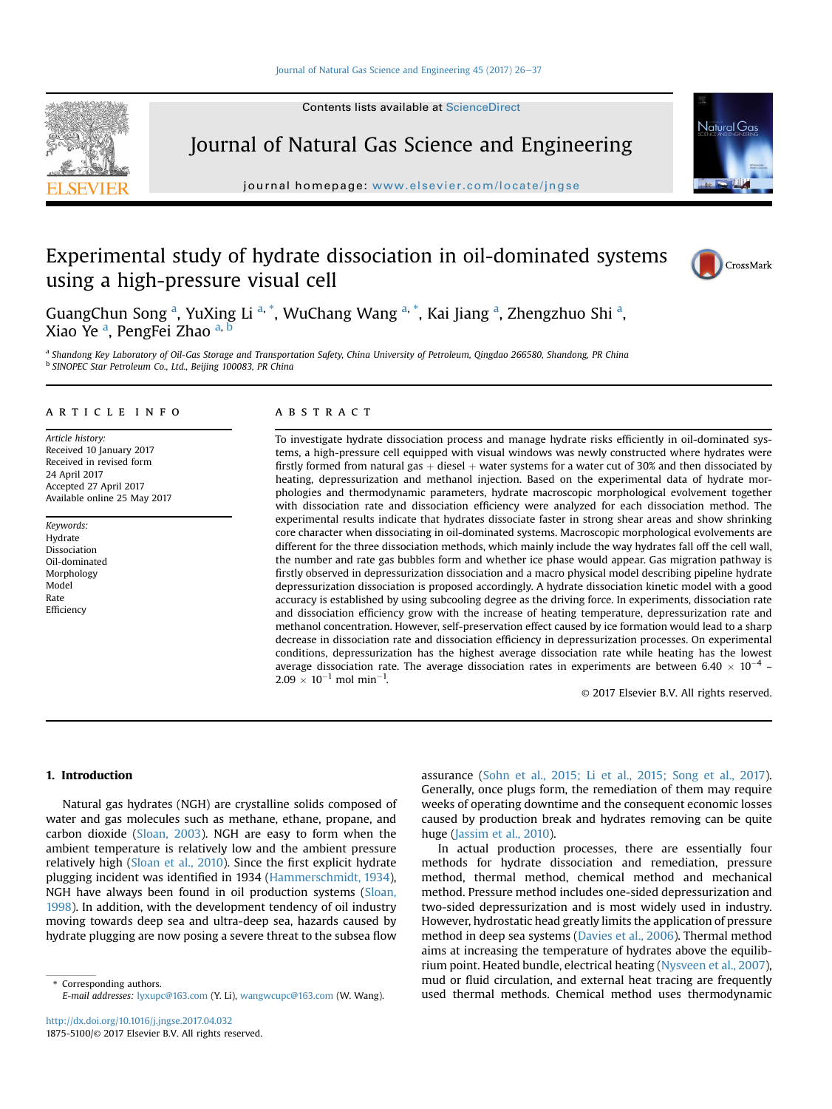Contents lists available at ScienceDirect

# Journal of Natural Gas Science and Engineering

journal homepage: [www.elsevier.com/locate/jngse](http://www.elsevier.com/locate/jngse)

# Experimental study of hydrate dissociation in oil-dominated systems using a high-pressure visual cell

GuangChun Song <sup>a</sup>, YuXing Li <sup>a, \*</sup>, WuChang Wang <sup>a, \*</sup>, Kai Jiang <sup>a</sup>, Zhengzhuo Shi <sup>a</sup>, Xiao Ye <sup>a</sup>, PengFei Zhao <sup>a, b</sup>

a Shandong Key Laboratory of Oil-Gas Storage and Transportation Safety, China University of Petroleum, Qingdao 266580, Shandong, PR China <sup>b</sup> SINOPEC Star Petroleum Co., Ltd., Beijing 100083, PR China

## article info

Article history: Received 10 January 2017 Received in revised form 24 April 2017 Accepted 27 April 2017 Available online 25 May 2017

Keywords: Hydrate Dissociation Oil-dominated Morphology Model Rate Efficiency

#### **ABSTRACT**

To investigate hydrate dissociation process and manage hydrate risks efficiently in oil-dominated systems, a high-pressure cell equipped with visual windows was newly constructed where hydrates were firstly formed from natural gas  $+$  diesel  $+$  water systems for a water cut of 30% and then dissociated by heating, depressurization and methanol injection. Based on the experimental data of hydrate morphologies and thermodynamic parameters, hydrate macroscopic morphological evolvement together with dissociation rate and dissociation efficiency were analyzed for each dissociation method. The experimental results indicate that hydrates dissociate faster in strong shear areas and show shrinking core character when dissociating in oil-dominated systems. Macroscopic morphological evolvements are different for the three dissociation methods, which mainly include the way hydrates fall off the cell wall, the number and rate gas bubbles form and whether ice phase would appear. Gas migration pathway is firstly observed in depressurization dissociation and a macro physical model describing pipeline hydrate depressurization dissociation is proposed accordingly. A hydrate dissociation kinetic model with a good accuracy is established by using subcooling degree as the driving force. In experiments, dissociation rate and dissociation efficiency grow with the increase of heating temperature, depressurization rate and methanol concentration. However, self-preservation effect caused by ice formation would lead to a sharp decrease in dissociation rate and dissociation efficiency in depressurization processes. On experimental conditions, depressurization has the highest average dissociation rate while heating has the lowest average dissociation rate. The average dissociation rates in experiments are between 6.40  $\times$  10<sup>-4</sup>  $\sim$  $2.09 \times 10^{-1}$  mol min<sup>-1</sup>.

© 2017 Elsevier B.V. All rights reserved.

### 1. Introduction

Natural gas hydrates (NGH) are crystalline solids composed of water and gas molecules such as methane, ethane, propane, and carbon dioxide [\(Sloan, 2003](#page--1-0)). NGH are easy to form when the ambient temperature is relatively low and the ambient pressure relatively high ([Sloan et al., 2010\)](#page--1-0). Since the first explicit hydrate plugging incident was identified in 1934 ([Hammerschmidt, 1934\)](#page--1-0), NGH have always been found in oil production systems [\(Sloan,](#page--1-0) [1998](#page--1-0)). In addition, with the development tendency of oil industry moving towards deep sea and ultra-deep sea, hazards caused by hydrate plugging are now posing a severe threat to the subsea flow

\* Corresponding authors. E-mail addresses: [lyxupc@163.com](mailto:lyxupc@163.com) (Y. Li), [wangwcupc@163.com](mailto:wangwcupc@163.com) (W. Wang). assurance ([Sohn et al., 2015; Li et al., 2015; Song et al., 2017\)](#page--1-0). Generally, once plugs form, the remediation of them may require weeks of operating downtime and the consequent economic losses caused by production break and hydrates removing can be quite huge ([Jassim et al., 2010](#page--1-0)).

In actual production processes, there are essentially four methods for hydrate dissociation and remediation, pressure method, thermal method, chemical method and mechanical method. Pressure method includes one-sided depressurization and two-sided depressurization and is most widely used in industry. However, hydrostatic head greatly limits the application of pressure method in deep sea systems ([Davies et al., 2006](#page--1-0)). Thermal method aims at increasing the temperature of hydrates above the equilibrium point. Heated bundle, electrical heating ([Nysveen et al., 2007\)](#page--1-0), mud or fluid circulation, and external heat tracing are frequently used thermal methods. Chemical method uses thermodynamic





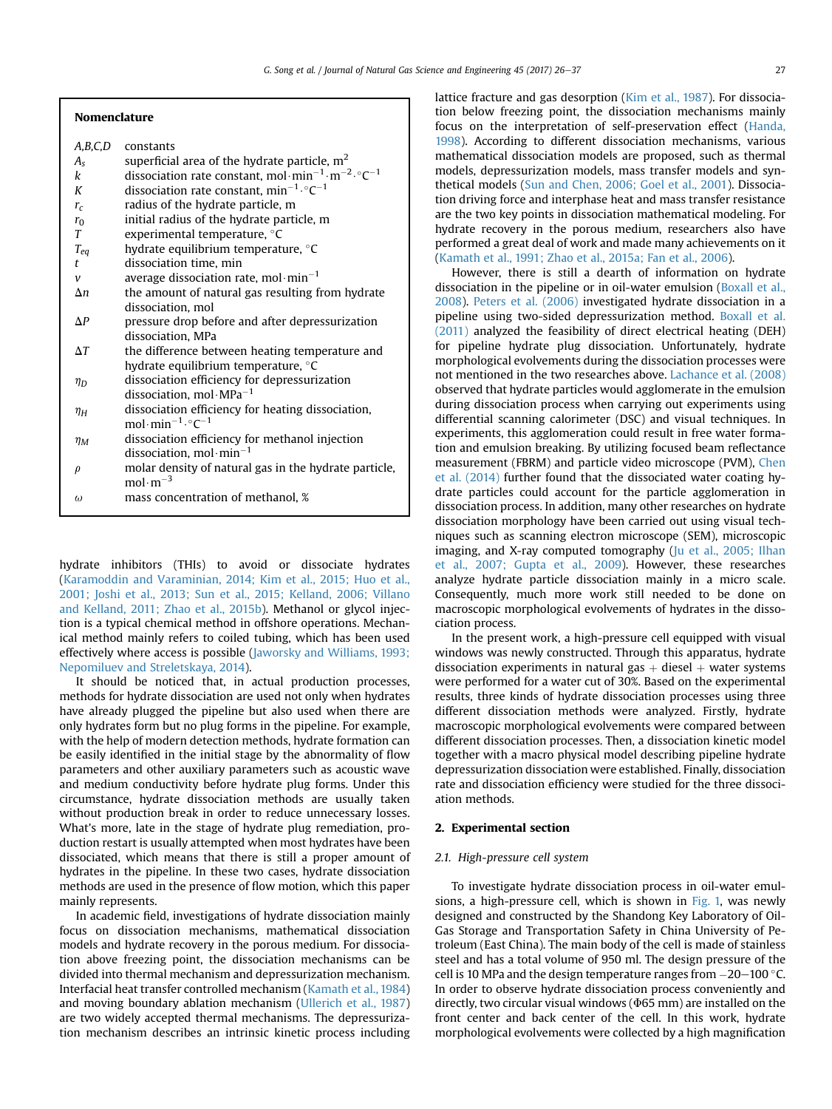#### Nomenclature

| A,B,C,D      | constants                                                                            |
|--------------|--------------------------------------------------------------------------------------|
| $A_{S}$      | superficial area of the hydrate particle, $m2$                                       |
| k            | dissociation rate constant, mol·min <sup>-1</sup> ·m <sup>-2</sup> ·°C <sup>-1</sup> |
| K            | dissociation rate constant, $min^{-1} \cdot C^{-1}$                                  |
| $r_c$        | radius of the hydrate particle, m                                                    |
| $r_0$        | initial radius of the hydrate particle, m                                            |
| T            | experimental temperature, °C                                                         |
| $T_{eq}$     | hydrate equilibrium temperature, °C                                                  |
| t            | dissociation time, min                                                               |
| $\mathcal V$ | average dissociation rate, mol $\cdot$ min <sup>-1</sup>                             |
| $\Delta n$   | the amount of natural gas resulting from hydrate                                     |
|              | dissociation, mol                                                                    |
| $\Delta P$   | pressure drop before and after depressurization                                      |
|              | dissociation, MPa                                                                    |
| $\Delta T$   | the difference between heating temperature and                                       |
|              | hydrate equilibrium temperature, °C                                                  |
| $\eta_D$     | dissociation efficiency for depressurization                                         |
|              | dissociation, mol $\cdot$ MPa <sup>-1</sup>                                          |
| $\eta_H$     | dissociation efficiency for heating dissociation,                                    |
|              | mol·min <sup>-1</sup> · $\degree$ C <sup>-1</sup>                                    |
| $\eta_M$     | dissociation efficiency for methanol injection                                       |
|              | dissociation, mol $\cdot$ min <sup>-1</sup>                                          |
| $\rho$       | molar density of natural gas in the hydrate particle,                                |
|              | $mol·m-3$                                                                            |
| $\omega$     | mass concentration of methanol, %                                                    |
|              |                                                                                      |

hydrate inhibitors (THIs) to avoid or dissociate hydrates ([Karamoddin and Varaminian, 2014; Kim et al., 2015; Huo et al.,](#page--1-0) [2001; Joshi et al., 2013; Sun et al., 2015; Kelland, 2006; Villano](#page--1-0) [and Kelland, 2011; Zhao et al., 2015b](#page--1-0)). Methanol or glycol injection is a typical chemical method in offshore operations. Mechanical method mainly refers to coiled tubing, which has been used effectively where access is possible [\(Jaworsky and Williams, 1993;](#page--1-0) [Nepomiluev and Streletskaya, 2014](#page--1-0)).

It should be noticed that, in actual production processes, methods for hydrate dissociation are used not only when hydrates have already plugged the pipeline but also used when there are only hydrates form but no plug forms in the pipeline. For example, with the help of modern detection methods, hydrate formation can be easily identified in the initial stage by the abnormality of flow parameters and other auxiliary parameters such as acoustic wave and medium conductivity before hydrate plug forms. Under this circumstance, hydrate dissociation methods are usually taken without production break in order to reduce unnecessary losses. What's more, late in the stage of hydrate plug remediation, production restart is usually attempted when most hydrates have been dissociated, which means that there is still a proper amount of hydrates in the pipeline. In these two cases, hydrate dissociation methods are used in the presence of flow motion, which this paper mainly represents.

In academic field, investigations of hydrate dissociation mainly focus on dissociation mechanisms, mathematical dissociation models and hydrate recovery in the porous medium. For dissociation above freezing point, the dissociation mechanisms can be divided into thermal mechanism and depressurization mechanism. Interfacial heat transfer controlled mechanism [\(Kamath et al., 1984\)](#page--1-0) and moving boundary ablation mechanism [\(Ullerich et al., 1987\)](#page--1-0) are two widely accepted thermal mechanisms. The depressurization mechanism describes an intrinsic kinetic process including lattice fracture and gas desorption [\(Kim et al., 1987](#page--1-0)). For dissociation below freezing point, the dissociation mechanisms mainly focus on the interpretation of self-preservation effect [\(Handa,](#page--1-0) [1998\)](#page--1-0). According to different dissociation mechanisms, various mathematical dissociation models are proposed, such as thermal models, depressurization models, mass transfer models and synthetical models ([Sun and Chen, 2006; Goel et al., 2001\)](#page--1-0). Dissociation driving force and interphase heat and mass transfer resistance are the two key points in dissociation mathematical modeling. For hydrate recovery in the porous medium, researchers also have performed a great deal of work and made many achievements on it ([Kamath et al., 1991; Zhao et al., 2015a; Fan et al., 2006](#page--1-0)).

However, there is still a dearth of information on hydrate dissociation in the pipeline or in oil-water emulsion [\(Boxall et al.,](#page--1-0) [2008\)](#page--1-0). [Peters et al. \(2006\)](#page--1-0) investigated hydrate dissociation in a pipeline using two-sided depressurization method. [Boxall et al.](#page--1-0) [\(2011\)](#page--1-0) analyzed the feasibility of direct electrical heating (DEH) for pipeline hydrate plug dissociation. Unfortunately, hydrate morphological evolvements during the dissociation processes were not mentioned in the two researches above. [Lachance et al. \(2008\)](#page--1-0) observed that hydrate particles would agglomerate in the emulsion during dissociation process when carrying out experiments using differential scanning calorimeter (DSC) and visual techniques. In experiments, this agglomeration could result in free water formation and emulsion breaking. By utilizing focused beam reflectance measurement (FBRM) and particle video microscope (PVM), [Chen](#page--1-0) [et al. \(2014\)](#page--1-0) further found that the dissociated water coating hydrate particles could account for the particle agglomeration in dissociation process. In addition, many other researches on hydrate dissociation morphology have been carried out using visual techniques such as scanning electron microscope (SEM), microscopic imaging, and X-ray computed tomography ([Ju et al., 2005; Ilhan](#page--1-0) [et al., 2007; Gupta et al., 2009](#page--1-0)). However, these researches analyze hydrate particle dissociation mainly in a micro scale. Consequently, much more work still needed to be done on macroscopic morphological evolvements of hydrates in the dissociation process.

In the present work, a high-pressure cell equipped with visual windows was newly constructed. Through this apparatus, hydrate dissociation experiments in natural gas  $+$  diesel  $+$  water systems were performed for a water cut of 30%. Based on the experimental results, three kinds of hydrate dissociation processes using three different dissociation methods were analyzed. Firstly, hydrate macroscopic morphological evolvements were compared between different dissociation processes. Then, a dissociation kinetic model together with a macro physical model describing pipeline hydrate depressurization dissociation were established. Finally, dissociation rate and dissociation efficiency were studied for the three dissociation methods.

## 2. Experimental section

#### 2.1. High-pressure cell system

To investigate hydrate dissociation process in oil-water emulsions, a high-pressure cell, which is shown in [Fig. 1,](#page--1-0) was newly designed and constructed by the Shandong Key Laboratory of Oil-Gas Storage and Transportation Safety in China University of Petroleum (East China). The main body of the cell is made of stainless steel and has a total volume of 950 ml. The design pressure of the cell is 10 MPa and the design temperature ranges from  $-20-100$  °C. In order to observe hydrate dissociation process conveniently and directly, two circular visual windows ( $\Phi$ 65 mm) are installed on the front center and back center of the cell. In this work, hydrate morphological evolvements were collected by a high magnification